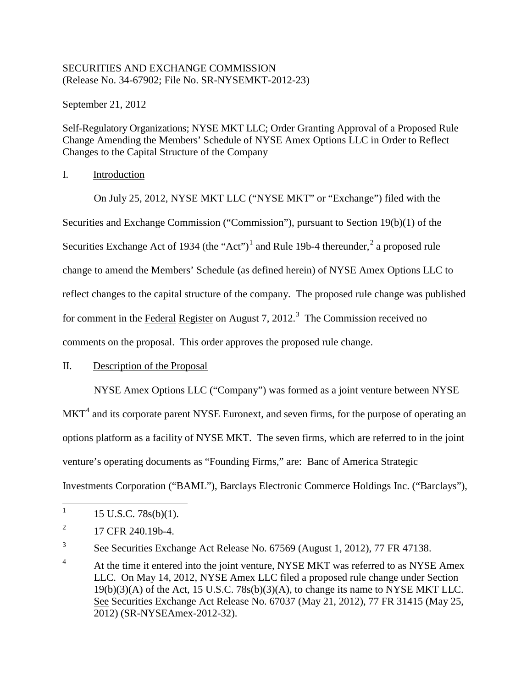## SECURITIES AND EXCHANGE COMMISSION (Release No. 34-67902; File No. SR-NYSEMKT-2012-23)

September 21, 2012

Self-Regulatory Organizations; NYSE MKT LLC; Order Granting Approval of a Proposed Rule Change Amending the Members' Schedule of NYSE Amex Options LLC in Order to Reflect Changes to the Capital Structure of the Company

I. Introduction

On July 25, 2012, NYSE MKT LLC ("NYSE MKT" or "Exchange") filed with the Securities and Exchange Commission ("Commission"), pursuant to Section 19(b)(1) of the Securities Exchange Act of [1](#page-0-0)934 (the "Act")<sup>1</sup> and Rule 19b-4 thereunder,  $\frac{2}{3}$  $\frac{2}{3}$  $\frac{2}{3}$  a proposed rule change to amend the Members' Schedule (as defined herein) of NYSE Amex Options LLC to reflect changes to the capital structure of the company. The proposed rule change was published for comment in the Federal Register on August 7, 2012.<sup>[3](#page-0-2)</sup> The Commission received no comments on the proposal. This order approves the proposed rule change.

# II. Description of the Proposal

NYSE Amex Options LLC ("Company") was formed as a joint venture between NYSE

 $MKT<sup>4</sup>$  $MKT<sup>4</sup>$  $MKT<sup>4</sup>$  and its corporate parent NYSE Euronext, and seven firms, for the purpose of operating an options platform as a facility of NYSE MKT. The seven firms, which are referred to in the joint venture's operating documents as "Founding Firms," are: Banc of America Strategic Investments Corporation ("BAML"), Barclays Electronic Commerce Holdings Inc. ("Barclays"),

<span id="page-0-0"></span><sup>&</sup>lt;sup>1</sup> 15 U.S.C. 78s(b)(1).

<span id="page-0-1"></span> $^{2}$  17 CFR 240.19b-4.

<span id="page-0-2"></span> $\frac{3}{2}$  See Securities Exchange Act Release No. 67569 (August 1, 2012), 77 FR 47138.

<span id="page-0-3"></span><sup>&</sup>lt;sup>4</sup> At the time it entered into the joint venture, NYSE MKT was referred to as NYSE Amex LLC. On May 14, 2012, NYSE Amex LLC filed a proposed rule change under Section 19(b)(3)(A) of the Act, 15 U.S.C. 78s(b)(3)(A), to change its name to NYSE MKT LLC. See Securities Exchange Act Release No. 67037 (May 21, 2012), 77 FR 31415 (May 25, 2012) (SR-NYSEAmex-2012-32).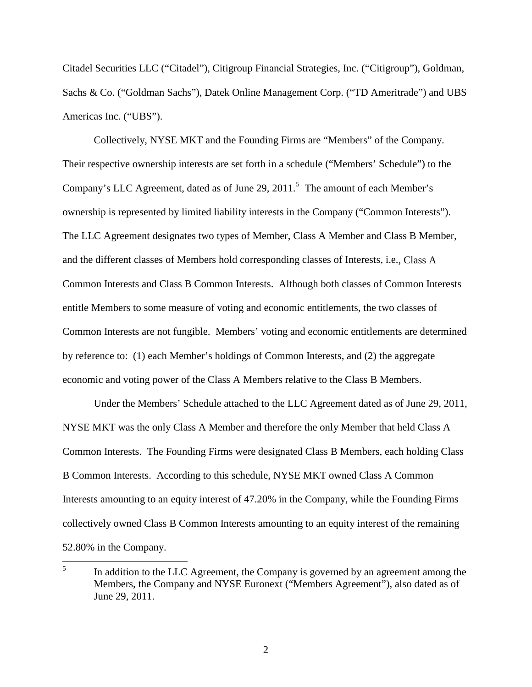Citadel Securities LLC ("Citadel"), Citigroup Financial Strategies, Inc. ("Citigroup"), Goldman, Sachs & Co. ("Goldman Sachs"), Datek Online Management Corp. ("TD Ameritrade") and UBS Americas Inc. ("UBS").

Collectively, NYSE MKT and the Founding Firms are "Members" of the Company. Their respective ownership interests are set forth in a schedule ("Members' Schedule") to the Company's LLC Agreement, dated as of June 29, 2011.<sup>[5](#page-1-0)</sup> The amount of each Member's ownership is represented by limited liability interests in the Company ("Common Interests"). The LLC Agreement designates two types of Member, Class A Member and Class B Member, and the different classes of Members hold corresponding classes of Interests, i.e., Class A Common Interests and Class B Common Interests. Although both classes of Common Interests entitle Members to some measure of voting and economic entitlements, the two classes of Common Interests are not fungible. Members' voting and economic entitlements are determined by reference to: (1) each Member's holdings of Common Interests, and (2) the aggregate economic and voting power of the Class A Members relative to the Class B Members.

Under the Members' Schedule attached to the LLC Agreement dated as of June 29, 2011, NYSE MKT was the only Class A Member and therefore the only Member that held Class A Common Interests. The Founding Firms were designated Class B Members, each holding Class B Common Interests. According to this schedule, NYSE MKT owned Class A Common Interests amounting to an equity interest of 47.20% in the Company, while the Founding Firms collectively owned Class B Common Interests amounting to an equity interest of the remaining 52.80% in the Company.

<span id="page-1-0"></span><sup>&</sup>lt;sup>5</sup> In addition to the LLC Agreement, the Company is governed by an agreement among the Members, the Company and NYSE Euronext ("Members Agreement"), also dated as of June 29, 2011.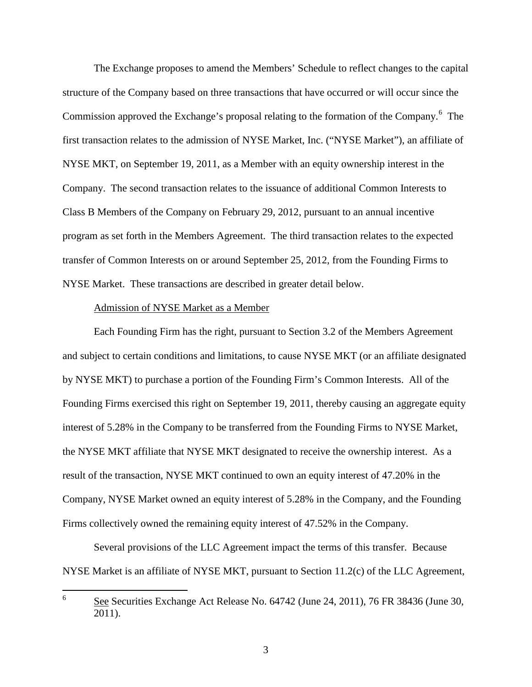The Exchange proposes to amend the Members' Schedule to reflect changes to the capital structure of the Company based on three transactions that have occurred or will occur since the Commission approved the Exchange's proposal relating to the formation of the Company.<sup>[6](#page-2-0)</sup> The first transaction relates to the admission of NYSE Market, Inc. ("NYSE Market"), an affiliate of NYSE MKT, on September 19, 2011, as a Member with an equity ownership interest in the Company. The second transaction relates to the issuance of additional Common Interests to Class B Members of the Company on February 29, 2012, pursuant to an annual incentive program as set forth in the Members Agreement. The third transaction relates to the expected transfer of Common Interests on or around September 25, 2012, from the Founding Firms to NYSE Market. These transactions are described in greater detail below.

## Admission of NYSE Market as a Member

Each Founding Firm has the right, pursuant to Section 3.2 of the Members Agreement and subject to certain conditions and limitations, to cause NYSE MKT (or an affiliate designated by NYSE MKT) to purchase a portion of the Founding Firm's Common Interests. All of the Founding Firms exercised this right on September 19, 2011, thereby causing an aggregate equity interest of 5.28% in the Company to be transferred from the Founding Firms to NYSE Market, the NYSE MKT affiliate that NYSE MKT designated to receive the ownership interest. As a result of the transaction, NYSE MKT continued to own an equity interest of 47.20% in the Company, NYSE Market owned an equity interest of 5.28% in the Company, and the Founding Firms collectively owned the remaining equity interest of 47.52% in the Company.

Several provisions of the LLC Agreement impact the terms of this transfer. Because NYSE Market is an affiliate of NYSE MKT, pursuant to Section 11.2(c) of the LLC Agreement,

<span id="page-2-0"></span> <sup>6</sup> See Securities Exchange Act Release No. 64742 (June 24, 2011), 76 FR 38436 (June 30, 2011).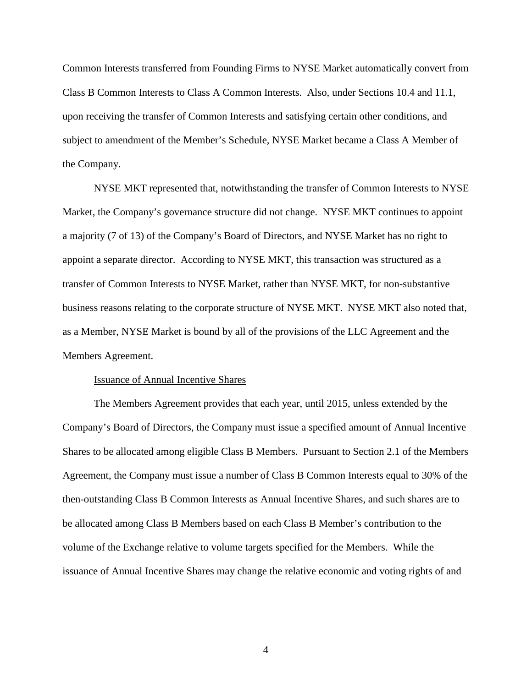Common Interests transferred from Founding Firms to NYSE Market automatically convert from Class B Common Interests to Class A Common Interests. Also, under Sections 10.4 and 11.1, upon receiving the transfer of Common Interests and satisfying certain other conditions, and subject to amendment of the Member's Schedule, NYSE Market became a Class A Member of the Company.

NYSE MKT represented that, notwithstanding the transfer of Common Interests to NYSE Market, the Company's governance structure did not change. NYSE MKT continues to appoint a majority (7 of 13) of the Company's Board of Directors, and NYSE Market has no right to appoint a separate director. According to NYSE MKT, this transaction was structured as a transfer of Common Interests to NYSE Market, rather than NYSE MKT, for non-substantive business reasons relating to the corporate structure of NYSE MKT. NYSE MKT also noted that, as a Member, NYSE Market is bound by all of the provisions of the LLC Agreement and the Members Agreement.

### Issuance of Annual Incentive Shares

The Members Agreement provides that each year, until 2015, unless extended by the Company's Board of Directors, the Company must issue a specified amount of Annual Incentive Shares to be allocated among eligible Class B Members. Pursuant to Section 2.1 of the Members Agreement, the Company must issue a number of Class B Common Interests equal to 30% of the then-outstanding Class B Common Interests as Annual Incentive Shares, and such shares are to be allocated among Class B Members based on each Class B Member's contribution to the volume of the Exchange relative to volume targets specified for the Members. While the issuance of Annual Incentive Shares may change the relative economic and voting rights of and

4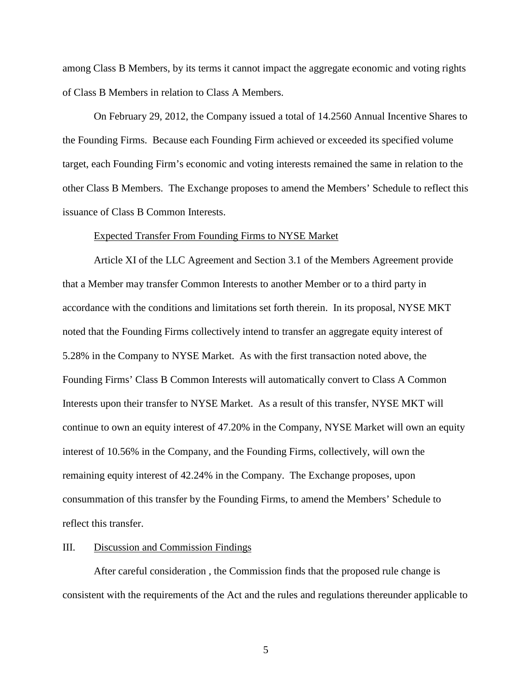among Class B Members, by its terms it cannot impact the aggregate economic and voting rights of Class B Members in relation to Class A Members.

On February 29, 2012, the Company issued a total of 14.2560 Annual Incentive Shares to the Founding Firms. Because each Founding Firm achieved or exceeded its specified volume target, each Founding Firm's economic and voting interests remained the same in relation to the other Class B Members. The Exchange proposes to amend the Members' Schedule to reflect this issuance of Class B Common Interests.

#### Expected Transfer From Founding Firms to NYSE Market

Article XI of the LLC Agreement and Section 3.1 of the Members Agreement provide that a Member may transfer Common Interests to another Member or to a third party in accordance with the conditions and limitations set forth therein. In its proposal, NYSE MKT noted that the Founding Firms collectively intend to transfer an aggregate equity interest of 5.28% in the Company to NYSE Market. As with the first transaction noted above, the Founding Firms' Class B Common Interests will automatically convert to Class A Common Interests upon their transfer to NYSE Market. As a result of this transfer, NYSE MKT will continue to own an equity interest of 47.20% in the Company, NYSE Market will own an equity interest of 10.56% in the Company, and the Founding Firms, collectively, will own the remaining equity interest of 42.24% in the Company. The Exchange proposes, upon consummation of this transfer by the Founding Firms, to amend the Members' Schedule to reflect this transfer.

#### III. Discussion and Commission Findings

After careful consideration , the Commission finds that the proposed rule change is consistent with the requirements of the Act and the rules and regulations thereunder applicable to

5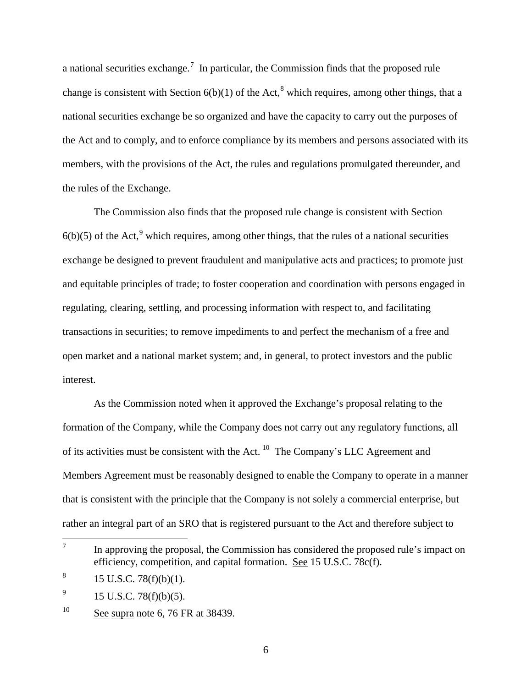a national securities exchange.<sup>[7](#page-5-0)</sup> In particular, the Commission finds that the proposed rule change is consistent with Section  $6(b)(1)$  of the Act,<sup>[8](#page-5-1)</sup> which requires, among other things, that a national securities exchange be so organized and have the capacity to carry out the purposes of the Act and to comply, and to enforce compliance by its members and persons associated with its members, with the provisions of the Act, the rules and regulations promulgated thereunder, and the rules of the Exchange.

The Commission also finds that the proposed rule change is consistent with Section  $6(b)(5)$  of the Act,<sup>[9](#page-5-2)</sup> which requires, among other things, that the rules of a national securities exchange be designed to prevent fraudulent and manipulative acts and practices; to promote just and equitable principles of trade; to foster cooperation and coordination with persons engaged in regulating, clearing, settling, and processing information with respect to, and facilitating transactions in securities; to remove impediments to and perfect the mechanism of a free and open market and a national market system; and, in general, to protect investors and the public interest.

As the Commission noted when it approved the Exchange's proposal relating to the formation of the Company, while the Company does not carry out any regulatory functions, all of its activities must be consistent with the Act. [10](#page-5-3) The Company's LLC Agreement and Members Agreement must be reasonably designed to enable the Company to operate in a manner that is consistent with the principle that the Company is not solely a commercial enterprise, but rather an integral part of an SRO that is registered pursuant to the Act and therefore subject to

6

<span id="page-5-0"></span> $\frac{7}{10}$  In approving the proposal, the Commission has considered the proposed rule's impact on efficiency, competition, and capital formation. See 15 U.S.C. 78c(f).

<span id="page-5-1"></span> $8$  15 U.S.C. 78(f)(b)(1).

<span id="page-5-2"></span> $^{9}$  15 U.S.C. 78(f)(b)(5).

<span id="page-5-3"></span> $10$  See supra note 6, 76 FR at 38439.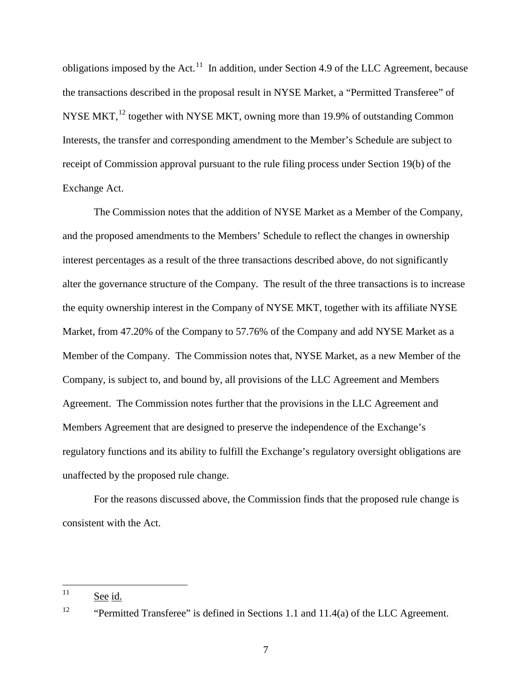obligations imposed by the Act.<sup>11</sup> In addition, under Section 4.9 of the LLC Agreement, because the transactions described in the proposal result in NYSE Market, a "Permitted Transferee" of NYSE MKT,<sup>[12](#page-6-1)</sup> together with NYSE MKT, owning more than 19.9% of outstanding Common Interests, the transfer and corresponding amendment to the Member's Schedule are subject to receipt of Commission approval pursuant to the rule filing process under Section 19(b) of the Exchange Act.

The Commission notes that the addition of NYSE Market as a Member of the Company, and the proposed amendments to the Members' Schedule to reflect the changes in ownership interest percentages as a result of the three transactions described above, do not significantly alter the governance structure of the Company. The result of the three transactions is to increase the equity ownership interest in the Company of NYSE MKT, together with its affiliate NYSE Market, from 47.20% of the Company to 57.76% of the Company and add NYSE Market as a Member of the Company. The Commission notes that, NYSE Market, as a new Member of the Company, is subject to, and bound by, all provisions of the LLC Agreement and Members Agreement. The Commission notes further that the provisions in the LLC Agreement and Members Agreement that are designed to preserve the independence of the Exchange's regulatory functions and its ability to fulfill the Exchange's regulatory oversight obligations are unaffected by the proposed rule change.

For the reasons discussed above, the Commission finds that the proposed rule change is consistent with the Act.

<span id="page-6-0"></span> $11$  See id.

<span id="page-6-1"></span><sup>&</sup>lt;sup>12</sup> "Permitted Transferee" is defined in Sections 1.1 and 11.4(a) of the LLC Agreement.